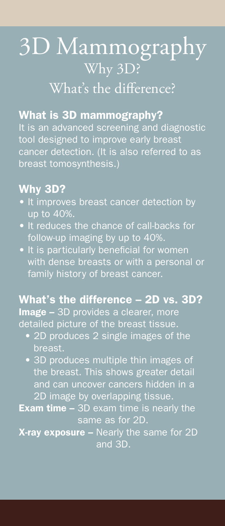# 3D Mammography Why 3D? What's the difference?

#### What is 3D mammography?

It is an advanced screening and diagnostic tool designed to improve early breast cancer detection. (It is also referred to as breast tomosynthesis.)

## Why 3D?

- It improves breast cancer detection by up to 40%.
- It reduces the chance of call-backs for follow-up imaging by up to 40%.
- It is particularly beneficial for women with dense breasts or with a personal or family history of breast cancer.

### What's the difference – 2D vs. 3D?

Image - 3D provides a clearer, more detailed picture of the breast tissue.

- 2D produces 2 single images of the breast.
- 3D produces multiple thin images of the breast. This shows greater detail and can uncover cancers hidden in a 2D image by overlapping tissue.
- **Exam time 3D exam time is nearly the** same as for 2D.

X-ray exposure – Nearly the same for 2D and 3D.